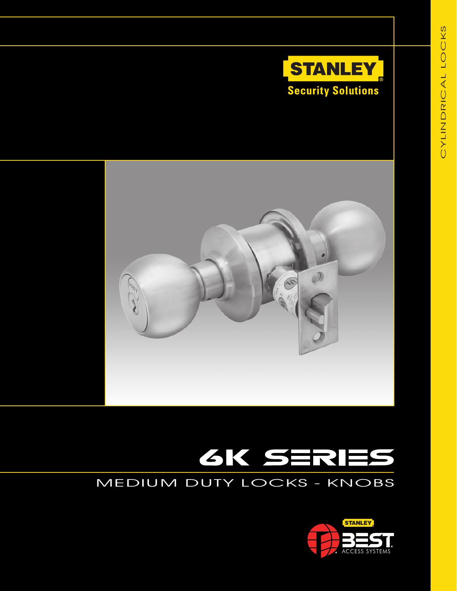



# **GK SERIES**<br>MEDIUM DUTY LOCKS - KNOBS

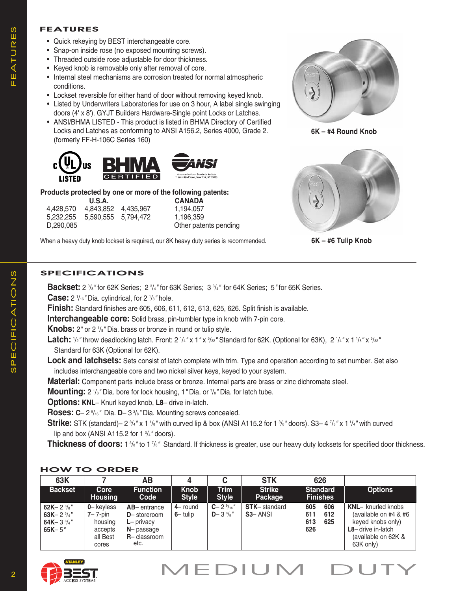### **FEATURES**

- Quick rekeying by BEST interchangeable core.
- Snap-on inside rose (no exposed mounting screws).
- Threaded outside rose adjustable for door thickness.
- Keyed knob is removable only after removal of core.
- Internal steel mechanisms are corrosion treated for normal atmospheric conditions.
- Lockset reversible for either hand of door without removing keyed knob.
- Listed by Underwriters Laboratories for use on 3 hour, A label single swinging doors (4' x 8'). GYJT Builders Hardware-Single point Locks or Latches.
- ANSI/BHMA LISTED This product is listed in BHMA Directory of Certified Locks and Latches as conforming to ANSI A156.2, Series 4000, Grade 2. (formerly FF-H-106C Series 160)



# **Products protected by one or more of the following patents:**

| U.S.A.    |           |          |  |  |  |  |  |  |
|-----------|-----------|----------|--|--|--|--|--|--|
| 4,428,570 | 4,843,852 | 4,435,96 |  |  |  |  |  |  |
| 5,232,255 | 5.590.555 | 5,794,47 |  |  |  |  |  |  |
| D.290.085 |           |          |  |  |  |  |  |  |
|           |           |          |  |  |  |  |  |  |

**<u>CANADA</u>**<br>1.194.057 4,194,057<br>1.196.359 1,196,359 Other patents pending

When a heavy duty knob lockset is required, our 8K heavy duty series is recommended.









# **SPECIFICATIONS**

**Backset:** 2 <sup>3</sup>/<sub>8</sub>" for 62K Series; 2 <sup>3</sup>/<sub>4</sub>" for 63K Series; 3 <sup>3</sup>/<sub>4</sub>" for 64K Series; 5" for 65K Series.

**Case:** 2 1 /16*"* Dia. cylindrical, for 2 1 /8*"* hole. **Finish:** Standard finishes are 605, 606, 611, 612, 613, 625, 626. Split finish is available.

**Interchangeable core:** Solid brass, pin-tumbler type in knob with 7-pin core.

**Knobs:** 2" or 2 <sup>1</sup>/<sub>8</sub>" Dia. brass or bronze in round or tulip style.

Latch:  $1/2$ " throw deadlocking latch. Front: 2  $1/4$ " x 1" x  $5/32$ " Standard for 62K. (Optional for 63K), 2  $1/4$ " x 1  $1/8$ " x  $5/32$ " Standard for 63K (Optional for 62K).

**Lock and latchsets:** Sets consist of latch complete with trim. Type and operation according to set number. Set also includes interchangeable core and two nickel silver keys, keyed to your system.

**Material:** Component parts include brass or bronze. Internal parts are brass or zinc dichromate steel.

**Mounting:** 2  $\frac{1}{8}$ " Dia. bore for lock housing, 1 " Dia. or  $\frac{7}{8}$ " Dia. for latch tube.

**Options: KNL**– Knurl keyed knob, **L8**– drive in-latch.

**Roses: C**– 2 <sup>9</sup> /16*"* Dia. **D**– 3 <sup>3</sup> /8*"* Dia. Mounting screws concealed.

**Strike:** STK (standard)– 2  $\frac{3}{4}$ " x 1  $\frac{1}{8}$ " with curved lip & box (ANSI A115.2 for 1  $\frac{3}{8}$ " doors). S3– 4  $\frac{7}{8}$ " x 1  $\frac{1}{4}$ " with curved lip and box (ANSI A115.2 for 1 <sup>3</sup> /4*"* doors).

**Thickness of doors:** 1 3/8" to 1 7/8" Standard. If thickness is greater, use our heavy duty locksets for specified door thickness.

## **HOW TO ORDER**

| 63K                                                                                    |                                                                      | ΑВ                                                                                          |                             |                                               | <b>STK</b>                                  | 626                                           |                                                                                                                                          |
|----------------------------------------------------------------------------------------|----------------------------------------------------------------------|---------------------------------------------------------------------------------------------|-----------------------------|-----------------------------------------------|---------------------------------------------|-----------------------------------------------|------------------------------------------------------------------------------------------------------------------------------------------|
| <b>Backset</b>                                                                         | Core<br><b>Housing</b>                                               | <b>Function</b><br>Code                                                                     | <b>Knob</b><br><b>Style</b> | <b>Trim</b><br><b>Style</b>                   | <b>Strike</b><br>Package                    | <b>Standard</b><br><b>Finishes</b>            | <b>Options</b>                                                                                                                           |
| 62K-2 $\frac{3}{8}$ "<br>63K-2 $\frac{3}{4}$ "<br>64K-3 $\frac{3}{4}$ "<br>$65K - 5''$ | 0-keyless<br>$7 - 7$ -pin<br>housing<br>accepts<br>all Best<br>cores | $AB$ – entrance<br>D-storeroom<br>$L$ – privacy<br>$N$ – passage<br>$R -$ classroom<br>etc. | $4$ – round<br>$6-$ tulip   | $C - 2\frac{9}{16}$ "<br>$D - 3\frac{3}{8}$ " | <b>STK-standard</b><br>S <sub>3</sub> -ANSI | 606<br>605<br>611<br>612<br>613<br>625<br>626 | <b>KNL-</b> knurled knobs<br>(available on $#4$ & $#6$<br>keyed knobs only)<br>$L8$ – drive in-latch<br>(available on 62K &<br>63K only) |

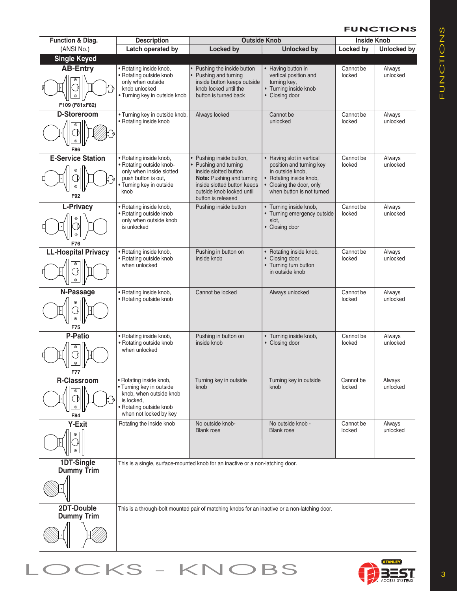#### **FUNCTIONS**

| <b>Function &amp; Diag.</b>             | <b>Description</b>                                                                                                                                | <b>Outside Knob</b>                                                                                                                                                                            |                                                                                                                                                               | <b>Inside Knob</b>  |                    |
|-----------------------------------------|---------------------------------------------------------------------------------------------------------------------------------------------------|------------------------------------------------------------------------------------------------------------------------------------------------------------------------------------------------|---------------------------------------------------------------------------------------------------------------------------------------------------------------|---------------------|--------------------|
| (ANSI No.)                              | Latch operated by                                                                                                                                 | <b>Locked by</b>                                                                                                                                                                               | <b>Unlocked by</b>                                                                                                                                            | Locked by           | <b>Unlocked by</b> |
| <b>Single Keyed</b>                     |                                                                                                                                                   |                                                                                                                                                                                                |                                                                                                                                                               |                     |                    |
| <b>AB-Entry</b><br>⊛<br>F109 (F81xF82)  | • Rotating inside knob,<br>• Rotating outside knob<br>only when outside<br>knob unlocked<br>• Turning key in outside knob                         | • Pushing the inside button<br>Pushing and turning<br>inside button keeps outside<br>knob locked until the<br>button is turned back                                                            | • Having button in<br>vertical position and<br>turning key,<br>• Turning inside knob<br>• Closing door                                                        | Cannot be<br>locked | Always<br>unlocked |
| D-Storeroom<br>$^\circledR$<br>F86      | • Turning key in outside knob,<br>• Rotating inside knob                                                                                          | Always locked                                                                                                                                                                                  | Cannot be<br>unlocked                                                                                                                                         | Cannot be<br>locked | Always<br>unlocked |
| <b>E-Service Station</b><br>F92         | • Rotating inside knob,<br>• Rotating outside knob-<br>only when inside slotted<br>push button is out,<br>· Turning key in outside<br>knob        | • Pushing inside button,<br>Pushing and turning<br>inside slotted button<br><b>Note:</b> Pushing and turning<br>inside slotted button keeps<br>outside knob locked until<br>button is released | • Having slot in vertical<br>position and turning key<br>in outside knob,<br>• Rotating inside knob,<br>• Closing the door, only<br>when button is not turned | Cannot be<br>locked | Always<br>unlocked |
| L-Privacy<br>F76                        | • Rotating inside knob,<br>• Rotating outside knob<br>only when outside knob<br>is unlocked                                                       | Pushing inside button                                                                                                                                                                          | • Turning inside knob,<br>• Turning emergency outside<br>slot.<br>• Closing door                                                                              | Cannot be<br>locked | Always<br>unlocked |
| <b>LL-Hospital Privacy</b>              | • Rotating inside knob,<br>• Rotating outside knob<br>when unlocked                                                                               | Pushing in button on<br>inside knob                                                                                                                                                            | • Rotating inside knob,<br>• Closing door,<br>• Turning turn button<br>in outside knob                                                                        | Cannot be<br>locked | Always<br>unlocked |
| N-Passage<br>⊛<br>F75                   | • Rotating inside knob,<br>• Rotating outside knob                                                                                                | Cannot be locked                                                                                                                                                                               | Always unlocked                                                                                                                                               | Cannot be<br>locked | Always<br>unlocked |
| <b>P-Patio</b><br>F77                   | • Rotating inside knob,<br>• Rotating outside knob<br>when unlocked                                                                               | Pushing in button on<br>inside knob                                                                                                                                                            | • Turning inside knob,<br>• Closing door                                                                                                                      | Cannot be<br>locked | Always<br>unlocked |
| <b>R-Classroom</b><br>$^{\circ}$<br>F84 | • Rotating inside knob,<br>• Turning key in outside<br>knob, when outside knob<br>is locked.<br>· Rotating outside knob<br>when not locked by key | Turning key in outside<br>knob                                                                                                                                                                 | Turning key in outside<br>knob                                                                                                                                | Cannot be<br>locked | Always<br>unlocked |
| <b>Y-Exit</b><br>$^\circledR$           | Rotating the inside knob                                                                                                                          | No outside knob-<br><b>Blank rose</b>                                                                                                                                                          | No outside knob -<br><b>Blank rose</b>                                                                                                                        | Cannot be<br>locked | Always<br>unlocked |
| 1DT-Single<br>Dummy Trim                |                                                                                                                                                   | This is a single, surface-mounted knob for an inactive or a non-latching door.                                                                                                                 |                                                                                                                                                               |                     |                    |
| 2DT-Double<br><b>Dummy Trim</b>         |                                                                                                                                                   | This is a through-bolt mounted pair of matching knobs for an inactive or a non-latching door.                                                                                                  |                                                                                                                                                               |                     |                    |
|                                         |                                                                                                                                                   |                                                                                                                                                                                                |                                                                                                                                                               |                     |                    |

LOCKS - KNOBS 3